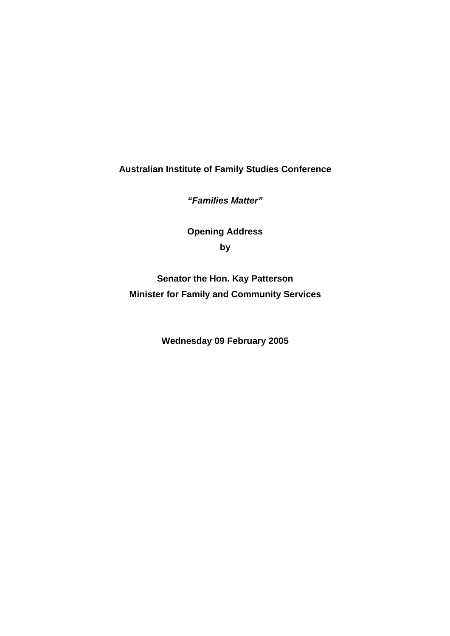**Australian Institute of Family Studies Conference** 

*"Families Matter"* 

**Opening Address by** 

**Senator the Hon. Kay Patterson Minister for Family and Community Services** 

**Wednesday 09 February 2005**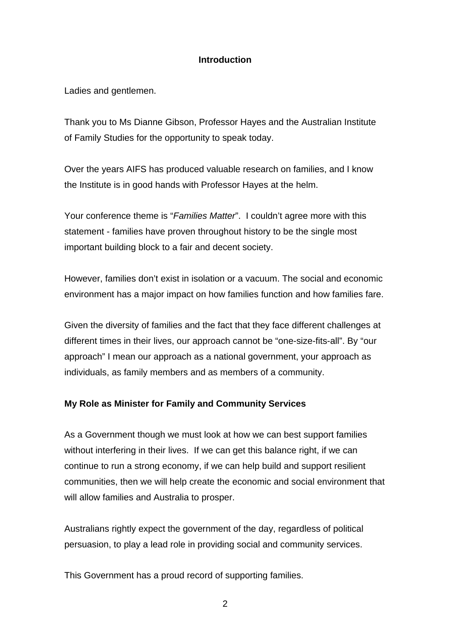### **Introduction**

Ladies and gentlemen.

Thank you to Ms Dianne Gibson, Professor Hayes and the Australian Institute of Family Studies for the opportunity to speak today.

Over the years AIFS has produced valuable research on families, and I know the Institute is in good hands with Professor Hayes at the helm.

Your conference theme is "*Families Matter*". I couldn't agree more with this statement - families have proven throughout history to be the single most important building block to a fair and decent society.

However, families don't exist in isolation or a vacuum. The social and economic environment has a major impact on how families function and how families fare.

Given the diversity of families and the fact that they face different challenges at different times in their lives, our approach cannot be "one-size-fits-all". By "our approach" I mean our approach as a national government, your approach as individuals, as family members and as members of a community.

## **My Role as Minister for Family and Community Services**

As a Government though we must look at how we can best support families without interfering in their lives. If we can get this balance right, if we can continue to run a strong economy, if we can help build and support resilient communities, then we will help create the economic and social environment that will allow families and Australia to prosper.

Australians rightly expect the government of the day, regardless of political persuasion, to play a lead role in providing social and community services.

This Government has a proud record of supporting families.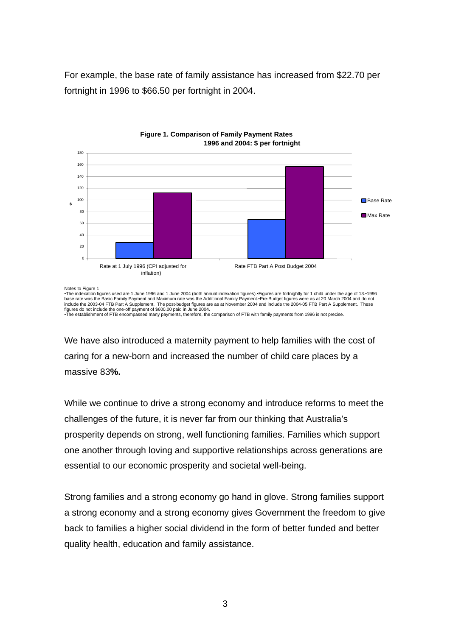For example, the base rate of family assistance has increased from \$22.70 per fortnight in 1996 to \$66.50 per fortnight in 2004.





•The indexation figures used are 1 June 1996 and 1 June 2004 (both annual indexation figures).•Figures are fortnightly for 1 child under the age of 13.•1996<br>base rate was the Basic Family Payment and Maximum rate was the A

We have also introduced a maternity payment to help families with the cost of caring for a new-born and increased the number of child care places by a massive 83**%.**

While we continue to drive a strong economy and introduce reforms to meet the challenges of the future, it is never far from our thinking that Australia's prosperity depends on strong, well functioning families. Families which support one another through loving and supportive relationships across generations are essential to our economic prosperity and societal well-being.

Strong families and a strong economy go hand in glove. Strong families support a strong economy and a strong economy gives Government the freedom to give back to families a higher social dividend in the form of better funded and better quality health, education and family assistance.

Notes to Figure 1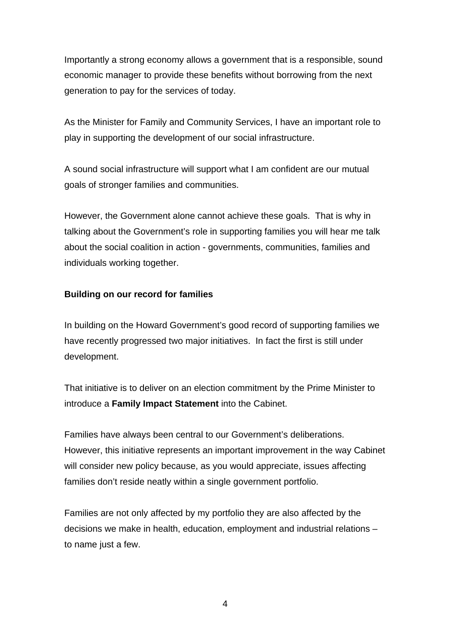Importantly a strong economy allows a government that is a responsible, sound economic manager to provide these benefits without borrowing from the next generation to pay for the services of today.

As the Minister for Family and Community Services, I have an important role to play in supporting the development of our social infrastructure.

A sound social infrastructure will support what I am confident are our mutual goals of stronger families and communities.

However, the Government alone cannot achieve these goals. That is why in talking about the Government's role in supporting families you will hear me talk about the social coalition in action - governments, communities, families and individuals working together.

### **Building on our record for families**

In building on the Howard Government's good record of supporting families we have recently progressed two major initiatives. In fact the first is still under development.

That initiative is to deliver on an election commitment by the Prime Minister to introduce a **Family Impact Statement** into the Cabinet.

Families have always been central to our Government's deliberations. However, this initiative represents an important improvement in the way Cabinet will consider new policy because, as you would appreciate, issues affecting families don't reside neatly within a single government portfolio.

Families are not only affected by my portfolio they are also affected by the decisions we make in health, education, employment and industrial relations – to name just a few.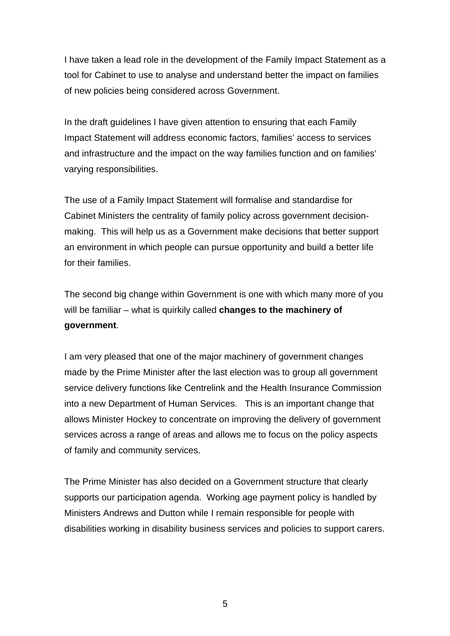I have taken a lead role in the development of the Family Impact Statement as a tool for Cabinet to use to analyse and understand better the impact on families of new policies being considered across Government.

In the draft guidelines I have given attention to ensuring that each Family Impact Statement will address economic factors, families' access to services and infrastructure and the impact on the way families function and on families' varying responsibilities.

The use of a Family Impact Statement will formalise and standardise for Cabinet Ministers the centrality of family policy across government decisionmaking. This will help us as a Government make decisions that better support an environment in which people can pursue opportunity and build a better life for their families.

The second big change within Government is one with which many more of you will be familiar – what is quirkily called **changes to the machinery of government**.

I am very pleased that one of the major machinery of government changes made by the Prime Minister after the last election was to group all government service delivery functions like Centrelink and the Health Insurance Commission into a new Department of Human Services. This is an important change that allows Minister Hockey to concentrate on improving the delivery of government services across a range of areas and allows me to focus on the policy aspects of family and community services.

The Prime Minister has also decided on a Government structure that clearly supports our participation agenda. Working age payment policy is handled by Ministers Andrews and Dutton while I remain responsible for people with disabilities working in disability business services and policies to support carers.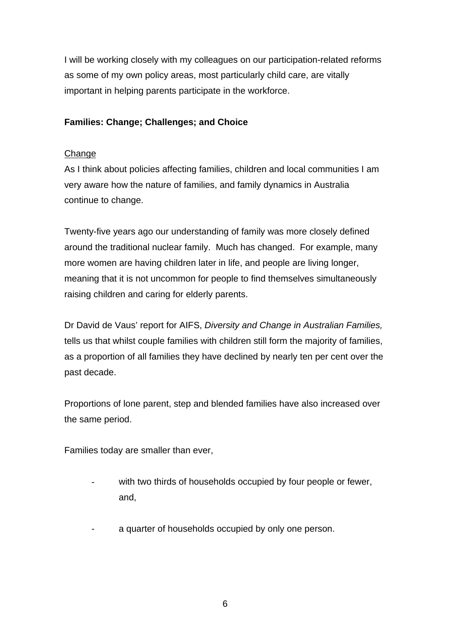I will be working closely with my colleagues on our participation-related reforms as some of my own policy areas, most particularly child care, are vitally important in helping parents participate in the workforce.

# **Families: Change; Challenges; and Choice**

### Change

As I think about policies affecting families, children and local communities I am very aware how the nature of families, and family dynamics in Australia continue to change.

Twenty-five years ago our understanding of family was more closely defined around the traditional nuclear family. Much has changed. For example, many more women are having children later in life, and people are living longer, meaning that it is not uncommon for people to find themselves simultaneously raising children and caring for elderly parents.

Dr David de Vaus' report for AIFS, *Diversity and Change in Australian Families,* tells us that whilst couple families with children still form the majority of families, as a proportion of all families they have declined by nearly ten per cent over the past decade.

Proportions of lone parent, step and blended families have also increased over the same period.

Families today are smaller than ever,

- with two thirds of households occupied by four people or fewer, and,
- a quarter of households occupied by only one person.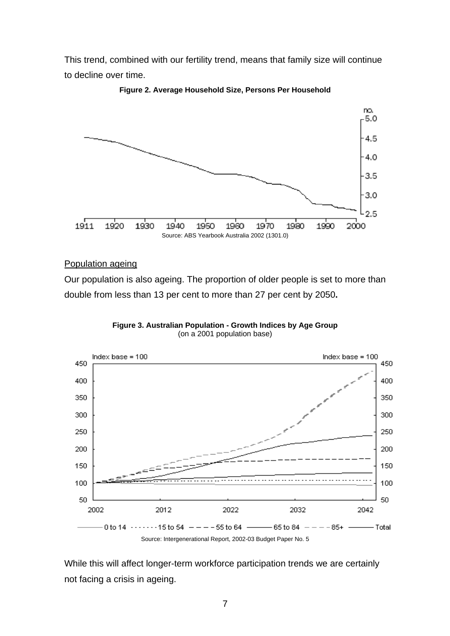This trend, combined with our fertility trend, means that family size will continue to decline over time.



**Figure 2. Average Household Size, Persons Per Household**

### Population ageing

Our population is also ageing. The proportion of older people is set to more than double from less than 13 per cent to more than 27 per cent by 2050**.** 



**Figure 3. Australian Population - Growth Indices by Age Group**  (on a 2001 population base)

While this will affect longer-term workforce participation trends we are certainly not facing a crisis in ageing.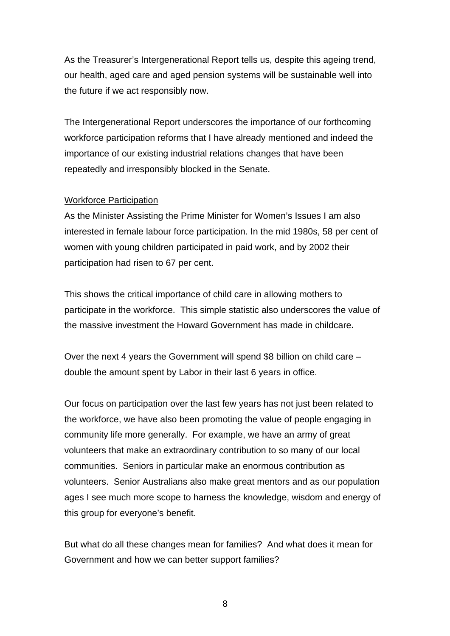As the Treasurer's Intergenerational Report tells us, despite this ageing trend, our health, aged care and aged pension systems will be sustainable well into the future if we act responsibly now.

The Intergenerational Report underscores the importance of our forthcoming workforce participation reforms that I have already mentioned and indeed the importance of our existing industrial relations changes that have been repeatedly and irresponsibly blocked in the Senate.

#### Workforce Participation

As the Minister Assisting the Prime Minister for Women's Issues I am also interested in female labour force participation. In the mid 1980s, 58 per cent of women with young children participated in paid work, and by 2002 their participation had risen to 67 per cent.

This shows the critical importance of child care in allowing mothers to participate in the workforce. This simple statistic also underscores the value of the massive investment the Howard Government has made in childcare**.** 

Over the next 4 years the Government will spend \$8 billion on child care – double the amount spent by Labor in their last 6 years in office.

Our focus on participation over the last few years has not just been related to the workforce, we have also been promoting the value of people engaging in community life more generally. For example, we have an army of great volunteers that make an extraordinary contribution to so many of our local communities. Seniors in particular make an enormous contribution as volunteers. Senior Australians also make great mentors and as our population ages I see much more scope to harness the knowledge, wisdom and energy of this group for everyone's benefit.

But what do all these changes mean for families? And what does it mean for Government and how we can better support families?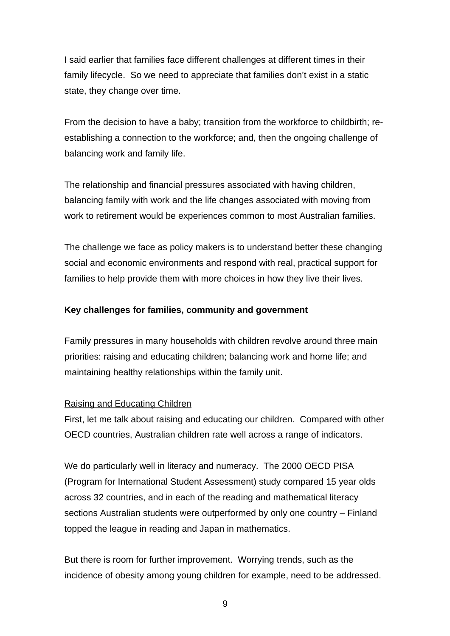I said earlier that families face different challenges at different times in their family lifecycle. So we need to appreciate that families don't exist in a static state, they change over time.

From the decision to have a baby; transition from the workforce to childbirth; reestablishing a connection to the workforce; and, then the ongoing challenge of balancing work and family life.

The relationship and financial pressures associated with having children, balancing family with work and the life changes associated with moving from work to retirement would be experiences common to most Australian families.

The challenge we face as policy makers is to understand better these changing social and economic environments and respond with real, practical support for families to help provide them with more choices in how they live their lives.

### **Key challenges for families, community and government**

Family pressures in many households with children revolve around three main priorities: raising and educating children; balancing work and home life; and maintaining healthy relationships within the family unit.

### Raising and Educating Children

First, let me talk about raising and educating our children. Compared with other OECD countries, Australian children rate well across a range of indicators.

We do particularly well in literacy and numeracy. The 2000 OECD PISA (Program for International Student Assessment) study compared 15 year olds across 32 countries, and in each of the reading and mathematical literacy sections Australian students were outperformed by only one country – Finland topped the league in reading and Japan in mathematics.

But there is room for further improvement. Worrying trends, such as the incidence of obesity among young children for example, need to be addressed.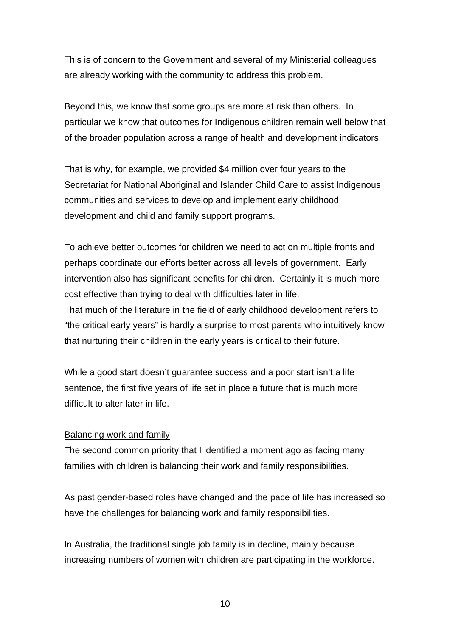This is of concern to the Government and several of my Ministerial colleagues are already working with the community to address this problem.

Beyond this, we know that some groups are more at risk than others. In particular we know that outcomes for Indigenous children remain well below that of the broader population across a range of health and development indicators.

That is why, for example, we provided \$4 million over four years to the Secretariat for National Aboriginal and Islander Child Care to assist Indigenous communities and services to develop and implement early childhood development and child and family support programs.

To achieve better outcomes for children we need to act on multiple fronts and perhaps coordinate our efforts better across all levels of government. Early intervention also has significant benefits for children. Certainly it is much more cost effective than trying to deal with difficulties later in life.

That much of the literature in the field of early childhood development refers to "the critical early years" is hardly a surprise to most parents who intuitively know that nurturing their children in the early years is critical to their future.

While a good start doesn't guarantee success and a poor start isn't a life sentence, the first five years of life set in place a future that is much more difficult to alter later in life.

## Balancing work and family

The second common priority that I identified a moment ago as facing many families with children is balancing their work and family responsibilities.

As past gender-based roles have changed and the pace of life has increased so have the challenges for balancing work and family responsibilities.

In Australia, the traditional single job family is in decline, mainly because increasing numbers of women with children are participating in the workforce.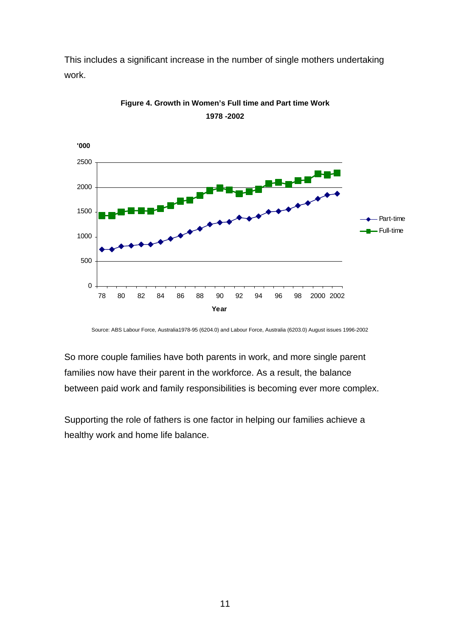This includes a significant increase in the number of single mothers undertaking work.



**Figure 4. Growth in Women's Full time and Part time Work 1978 -2002**

Source: ABS Labour Force, Australia1978-95 (6204.0) and Labour Force, Australia (6203.0) August issues 1996-2002

So more couple families have both parents in work, and more single parent families now have their parent in the workforce. As a result, the balance between paid work and family responsibilities is becoming ever more complex.

Supporting the role of fathers is one factor in helping our families achieve a healthy work and home life balance.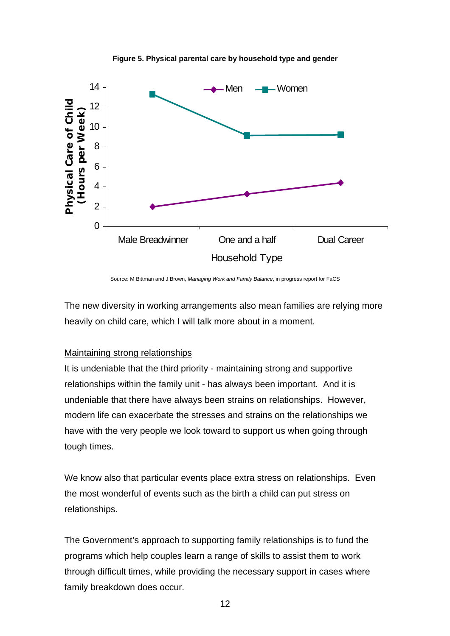

**Figure 5. Physical parental care by household type and gender**

Source: M Bittman and J Brown, *Managing Work and Family Balance*, in progress report for FaCS

The new diversity in working arrangements also mean families are relying more heavily on child care, which I will talk more about in a moment.

### Maintaining strong relationships

It is undeniable that the third priority - maintaining strong and supportive relationships within the family unit - has always been important. And it is undeniable that there have always been strains on relationships. However, modern life can exacerbate the stresses and strains on the relationships we have with the very people we look toward to support us when going through tough times.

We know also that particular events place extra stress on relationships. Even the most wonderful of events such as the birth a child can put stress on relationships.

The Government's approach to supporting family relationships is to fund the programs which help couples learn a range of skills to assist them to work through difficult times, while providing the necessary support in cases where family breakdown does occur.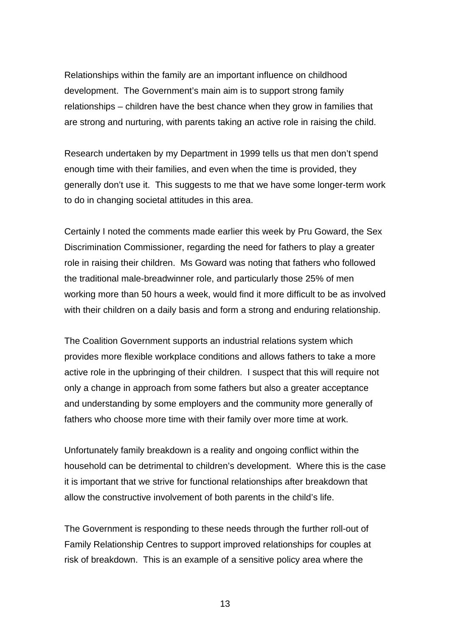Relationships within the family are an important influence on childhood development. The Government's main aim is to support strong family relationships – children have the best chance when they grow in families that are strong and nurturing, with parents taking an active role in raising the child.

enough time with their families, and even when the time is provided, they Research undertaken by my Department in 1999 tells us that men don't spend generally don't use it. This suggests to me that we have some longer-term work to do in changing societal attitudes in this area.

Certainly I noted the comments made earlier this week by Pru Goward, the Sex Discrimination Commissioner, regarding the need for fathers to play a greater working more than 50 hours a week, would find it more difficult to be as involved with their children on a daily basis and form a strong and enduring relationship. role in raising their children. Ms Goward was noting that fathers who followed the traditional male-breadwinner role, and particularly those 25% of men

provides more flexible workplace conditions and allows fathers to take a more active role in the upbringing of their children. I suspect that this will require not The Coalition Government supports an industrial relations system which only a change in approach from some fathers but also a greater acceptance and understanding by some employers and the community more generally of fathers who choose more time with their family over more time at work.

Unfortunately family breakdown is a reality and ongoing conflict within the household can be detrimental to children's development. Where this is the case it is important that we strive for functional relationships after breakdown that allow the constructive involvement of both parents in the child's life.

The Government is responding to these needs through the further roll-out of Family Relationship Centres to support improved relationships for couples at risk of breakdown. This is an example of a sensitive policy area where the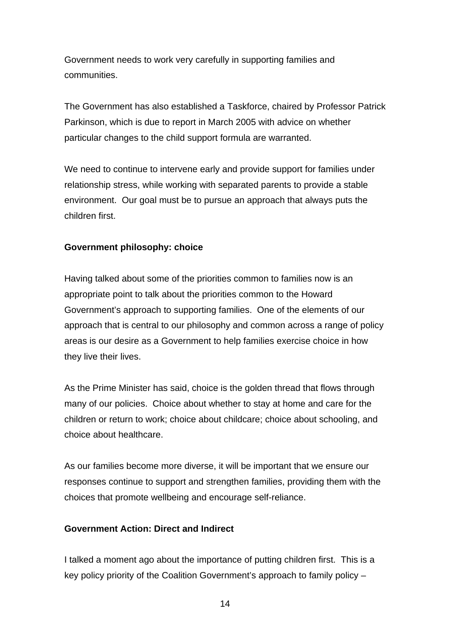Government needs to work very carefully in supporting families and communities.

The Government has also established a Taskforce, chaired by Professor Patrick Parkinson, which is due to report in March 2005 with advice on whether particular changes to the child support formula are warranted.

We need to continue to intervene early and provide support for families under relationship stress, while working with separated parents to provide a stable environment. Our goal must be to pursue an approach that always puts the children first.

## **Government philosophy: choice**

Having talked about some of the priorities common to families now is an Government's approach to supporting families. One of the elements of our approach that is central to our philosophy and common across a range of policy appropriate point to talk about the priorities common to the Howard areas is our desire as a Government to help families exercise choice in how they live their lives.

As the Prime Minister has said, choice is the golden thread that flows through many of our policies. Choice about whether to stay at home and care for the children or return to work; choice about childcare; choice about schooling, and choice about healthcare.

As our families become more diverse, it will be important that we ensure our e responses continue to support and strengthen families, providing them with th choices that promote wellbeing and encourage self-reliance.

## **overnment Action: Direct and Indirect G**

I talked a moment ago about the importance of putting children first. This is a key policy priority of the Coalition Government's approach to family policy –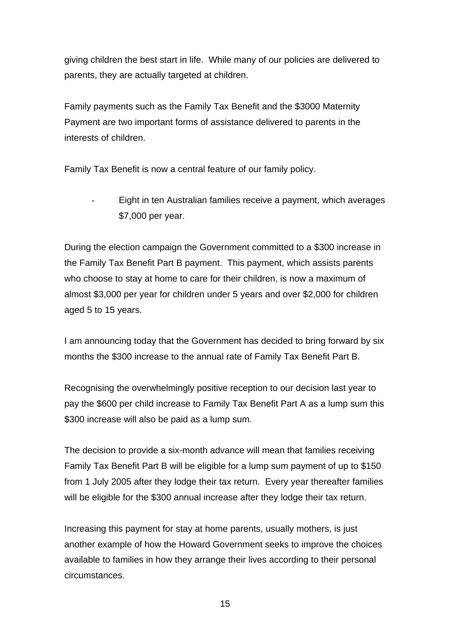giving children the best start in life. While many of our policies are delivered to parents, they are actually targeted at children.

Family payments such as the Family Tax Benefit and the \$3000 Maternity Payment are two important forms of assistance delivered to parents in the interests of children.

Family Tax Benefit is now a central feature of our family policy.

- Eight in ten Australian families receive a payment, which averages \$7,000 per year.

During the election campaign the Government committed to a \$300 increase in the Family Tax Benefit Part B payment. This payment, which assists parents who choose to stay at home to care for their children, is now a maximum of almost \$3,000 per year for children under 5 years and over \$2,000 for children aged 5 to 15 years.

I am announcing today that the Government has decided to bring forward by six months the \$300 increase to the annual rate of Family Tax Benefit Part B.

Recognising the overwhelmingly positive reception to our decision last year to pay the \$600 per child increase to Family Tax Benefit Part A as a lump sum this \$300 increase will also be paid as a lump sum.

The decision to provide a six-month advance will mean that families receiving Family Tax Benefit Part B will be eligible for a lump sum payment of up to \$150 from 1 July 2005 after they lodge their tax return. Every year thereafter families will be eligible for the \$300 annual increase after they lodge their tax return.

another example of how the Howard Government seeks to improve the choices available to families in how they arrange their lives according to their personal Increasing this payment for stay at home parents, usually mothers, is just circumstances.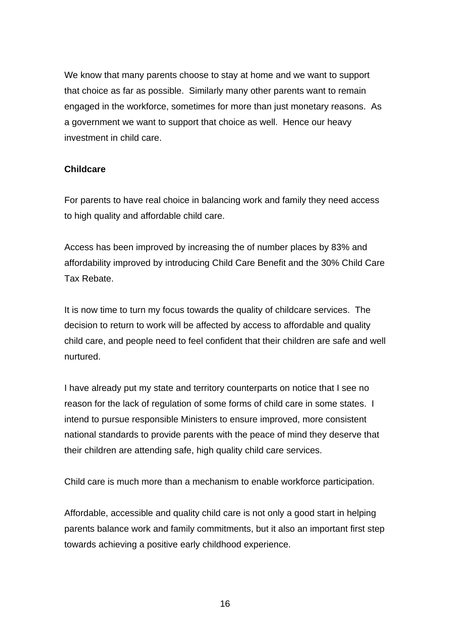We know that many parents choose to stay at home and we want to support that choice as far as possible. Similarly many other parents want to remain engaged in the workforce, sometimes for more than just monetary reasons. As a government we want to support that choice as well. Hence our heavy investment in child care.

### **Childcare**

For parents to have real choice in balancing work and family they need access to high quality and affordable child care.

Access has been improved by increasing the of number places by 83% and ffordability improved by introducing Child Care Benefit and the 30% Child Care a Tax Rebate.

It is now time to turn my focus towards the quality of childcare services. The decision to return to work will be affected by access to affordable and quality child care, and people need to feel confident that their children are safe and well nurtured.

I have already put my state and territory counterparts on notice that I see no reason for the lack of regulation of some forms of child care in some states. I intend to pursue responsible Ministers to ensure improved, more consistent national standards to provide parents with the peace of mind they deserve that their children are attending safe, high quality child care services.

Child care is much more than a mechanism to enable workforce participation.

parents balance work and family commitments, but it also an important first step Affordable, accessible and quality child care is not only a good start in helping towards achieving a positive early childhood experience.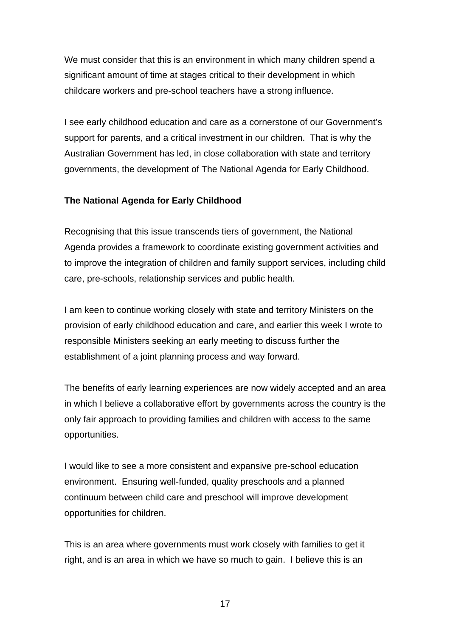We must consider that this is an environment in which many children spend a significant amount of time at stages critical to their development in which childcare workers and pre-school teachers have a strong influence.

I see early childhood education and care as a cornerstone of our Government's support for parents, and a critical investment in our children. That is why the Australian Government has led, in close collaboration with state and territory governments, the development of The National Agenda for Early Childhood.

## **he National Agenda for Early Childhood T**

Recognising that this issue transcends tiers of government, the National Agenda provides a framework to coordinate existing government activities and to improve the integration of children and family support services, including child care, pre-schools, relationship services and public health.

I am keen to continue working closely with state and territory Ministers on the provision of early childhood education and care, and earlier this week I wrote to responsible Ministers seeking an early meeting to discuss further the establishment of a joint planning process and way forward.

The benefits of early learning experiences are now widely accepted and an area in which I believe a collaborative effort by governments across the country is the only fair approach to providing families and children with access to the same opportunities.

would like to see a more consistent and expansive pre-school education I environment. Ensuring well-funded, quality preschools and a planned continuum between child care and preschool will improve development opportunities for children.

his is an area where governments must work closely with families to get it T right, and is an area in which we have so much to gain. I believe this is an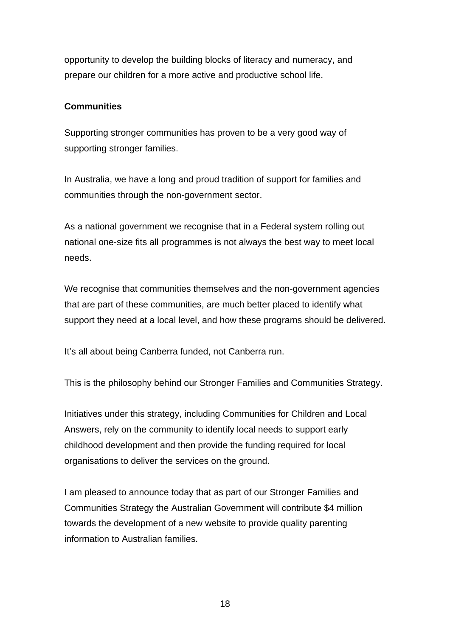opportunity to develop the building blocks of literacy and numeracy, and prepare our children for a more active and productive school life.

# **Communities**

Supporting stronger communities has proven to be a very good way of supporting stronger families.

In Australia, we have a long and proud tradition of support for families and communities through the non-government sector.

As a national government we recognise that in a Federal system rolling out national one-size fits all programmes is not always the best way to meet local needs.

We recognise that communities themselves and the non-government agencies that are part of these communities, are much better placed to identify what support they need at a local level, and how these programs should be delivered.

It's all about being Canberra funded, not Canberra run.

This is the philosophy behind our Stronger Families and Communities Strategy.

Initiatives under this strategy, including Communities for Children and Local Answers, rely on the community to identify local needs to support early childhood development and then provide the funding required for local organisations to deliver the services on the ground.

I am pleased to announce today that as part of our Stronger Families and Communities Strategy the Australian Government will contribute \$4 million towards the development of a new website to provide quality parenting information to Australian families.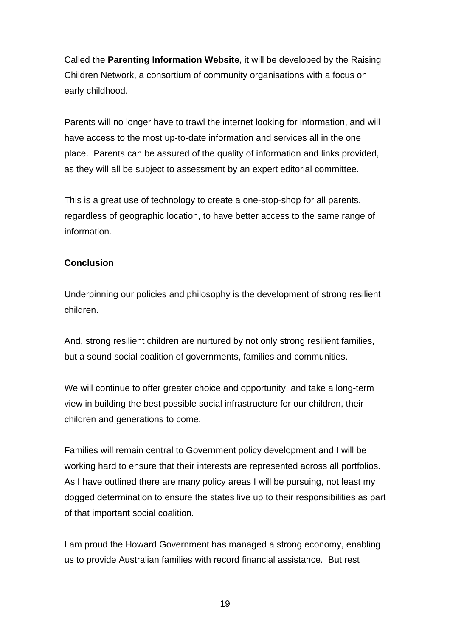Called the **Parenting Information Website**, it will be developed by the Raising Children Network, a consortium of community organisations with a focus on early childhood.

Parents will no longer have to trawl the internet looking for information, and will have access to the most up-to-date information and services all in the one place. Parents can be assured of the quality of information and links provided, as they will all be subject to assessment by an expert editorial committee.

This is a great use of technology to create a one-stop-shop for all parents, regardless of geographic location, to have better access to the same range of information.

# **Conclusion**

Underpinning our policies and philosophy is the development of strong resilient children.

And, strong resilient children are nurtured by not only strong resilient families, but a sound social coalition of governments, families and communities.

We will continue to offer greater choice and opportunity, and take a long-term view in building the best possible social infrastructure for our children, their children and generations to come.

Families will remain central to Government policy development and I will be working hard to ensure that their interests are represented across all portfolios. As I have outlined there are many policy areas I will be pursuing, not least my dogged determination to ensure the states live up to their responsibilities as part of that important social coalition.

I am proud the Howard Government has managed a strong economy, enabling us to provide Australian families with record financial assistance. But rest